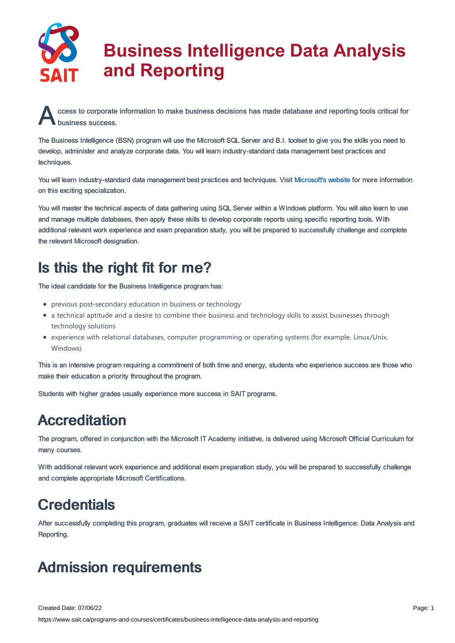

A ccess to corporate information to make business decisions has made database and reporting tools critical for<br>business success. business success.

The Business Intelligence (BSN) program will use the Microsoft SQL Server and B.I. toolset to give you the skills you need to develop, administer and analyze corporate data. You will learn industry-standard data management best practices and techniques.

You will learn industry-standard data management best practices and techniques. Visit [Microsoft's](https://powerbi.microsoft.com/en-us/) website for more information on this exciting specialization.

You will master the technical aspects of data gathering using SQL Server within a Windows platform. You will also learn to use and manage multiple databases, then apply these skills to develop corporate reports using specific reporting tools. With additional relevant work experience and exam preparation study, you will be prepared to successfully challenge and complete the relevant Microsoft designation.

# Is this the right fit for me?

The ideal candidate for the Business Intelligence program has:

- previous post-secondary education in business or technology
- a technical aptitude and a desire to combine their business and technology skills to assist businesses through technology solutions
- experience with relational databases, computer programming or operating systems (for example, Linux/Unix, Windows).

This is an intensive program requiring a commitment of both time and energy, students who experience success are those who make their education a priority throughout the program.

Students with higher grades usually experience more success in SAIT programs.

# **Accreditation**

The program, offered in conjunction with the Microsoft IT Academy initiative, is delivered using Microsoft Official Curriculum for many courses.

With additional relevant work experience and additional exam preparation study, you will be prepared to successfully challenge and complete appropriate Microsoft Certifications.

# **Credentials**

After successfully completing this program, graduates will receive a SAIT certificate in Business Intelligence: Data Analysis and Reporting.

# Admission requirements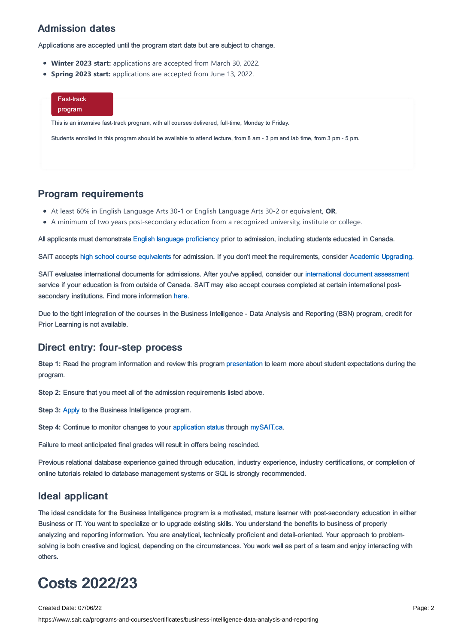### Admission dates

Applications are accepted until the program start date but are subject to change.

- **Winter 2023 start:** applications are accepted from March 30, 2022.
- **Spring 2023 start:** applications are accepted from June 13, 2022.

| Fast-track<br>program |                                                                                                                           |  |
|-----------------------|---------------------------------------------------------------------------------------------------------------------------|--|
|                       | This is an intensive fast-track program, with all courses delivered, full-time, Monday to Friday.                         |  |
|                       | Students enrolled in this program should be available to attend lecture, from 8 am - 3 pm and lab time, from 3 pm - 5 pm. |  |
|                       |                                                                                                                           |  |

### Program requirements

- At least 60% in English Language Arts 30-1 or English Language Arts 30-2 or equivalent, **OR**,
- A minimum of two years post-secondary education from a recognized university, institute or college.

All applicants must demonstrate English language [proficiency](https://www.sait.ca/admissions/before-you-apply/english-proficiency) prior to admission, including students educated in Canada.

SAIT accepts high school course [equivalents](https://www.sait.ca/admissions/before-you-apply/high-school-course-equivalencies) for admission. If you don't meet the requirements, consider Academic [Upgrading.](https://www.sait.ca/programs-and-courses/academic-upgrading)

SAIT evaluates international documents for admissions. After you've applied, consider our [international](https://www.sait.ca/admissions/after-you-apply/international-document-assessment) document assessment service if your education is from outside of Canada. SAIT may also accept courses completed at certain international postsecondary institutions. Find more information [here.](https://www.sait.ca/admissions/after-you-apply/international-institution-academic-partnerships)

Due to the tight integration of the courses in the Business Intelligence - Data Analysis and Reporting (BSN) program, credit for Prior Learning is not available.

### Direct entry: four-step process

**Step 1:** Read the program information and review this program [presentation](https://sait.ca/assets/documents/programs-and-courses/certificates/2021-business-intelligence.pptx) to learn more about student expectations during the program.

**Step 2:** Ensure that you meet all of the admission requirements listed above.

**Step 3:** [Apply](https://www.sait.ca/admissions/apply) to the Business Intelligence program.

**Step 4:** Continue to monitor changes to your [application](https://www.sait.ca/admissions/after-you-apply/tracking-your-application) status through [mySAIT.ca](https://www.mysait.ca/).

Failure to meet anticipated final grades will result in offers being rescinded.

Previous relational database experience gained through education, industry experience, industry certifications, or completion of online tutorials related to database management systems or SQL is strongly recommended.

### Ideal applicant

The ideal candidate for the Business Intelligence program is a motivated, mature learner with post-secondary education in either Business or IT. You want to specialize or to upgrade existing skills. You understand the benefits to business of properly analyzing and reporting information. You are analytical, technically proficient and detail-oriented. Your approach to problemsolving is both creative and logical, depending on the circumstances. You work well as part of a team and enjoy interacting with others.

# Costs 2022/23

Created Date: 07/06/22